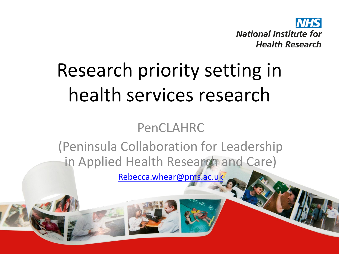

## Research priority setting in health services research

#### PenCLAHRC

(Peninsula Collaboration for Leadership in Applied Health Research and Care)

[Rebecca.whear@pms.ac.uk](mailto:Rebecca.whear@pms.ac.uk)

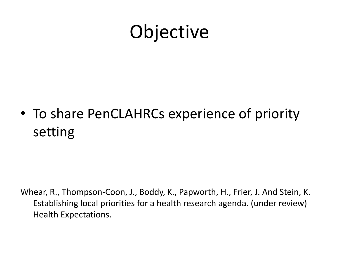#### **Objective**

• To share PenCLAHRCs experience of priority setting

Whear, R., Thompson-Coon, J., Boddy, K., Papworth, H., Frier, J. And Stein, K. Establishing local priorities for a health research agenda. (under review) Health Expectations.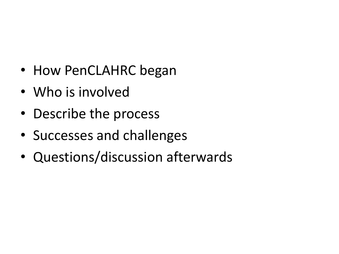- How PenCLAHRC began
- Who is involved
- Describe the process
- Successes and challenges
- Questions/discussion afterwards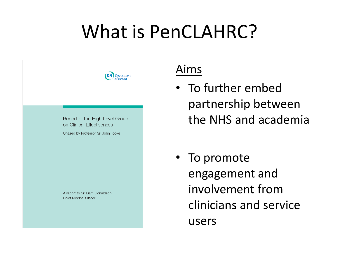#### What is PenCLAHRC?



Report of the High Level Group on Clinical Effectiveness

Chaired by Professor Sir John Tooke

A report to Sir Liam Donaldson **Chief Medical Officer** 

#### Aims

- To further embed partnership between the NHS and academia
- To promote engagement and involvement from clinicians and service users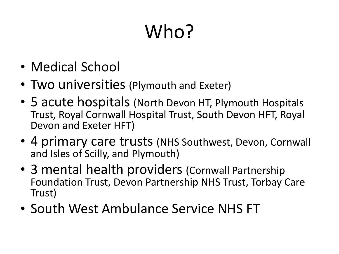# Who?

- Medical School
- Two universities (Plymouth and Exeter)
- 5 acute hospitals (North Devon HT, Plymouth Hospitals Trust, Royal Cornwall Hospital Trust, South Devon HFT, Royal Devon and Exeter HFT)
- 4 primary care trusts (NHS Southwest, Devon, Cornwall and Isles of Scilly, and Plymouth)
- 3 mental health providers (Cornwall Partnership Foundation Trust, Devon Partnership NHS Trust, Torbay Care Trust)
- South West Ambulance Service NHS FT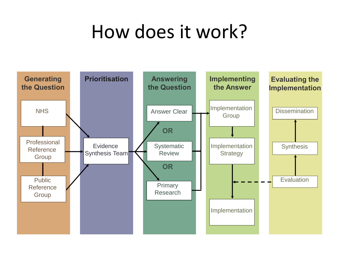### How does it work?

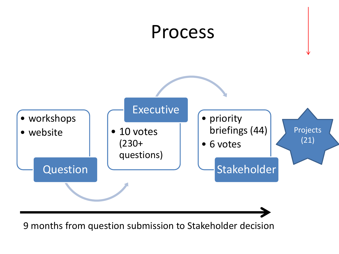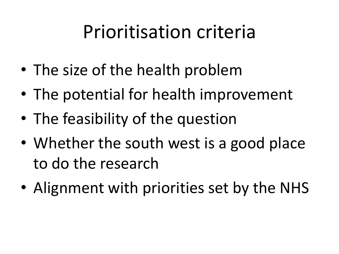### Prioritisation criteria

- The size of the health problem
- The potential for health improvement
- The feasibility of the question
- Whether the south west is a good place to do the research
- Alignment with priorities set by the NHS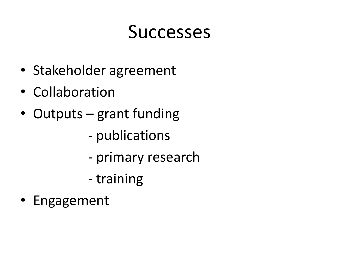#### **Successes**

- Stakeholder agreement
- Collaboration
- Outputs grant funding
	- publications
	- primary research
	- training
- Engagement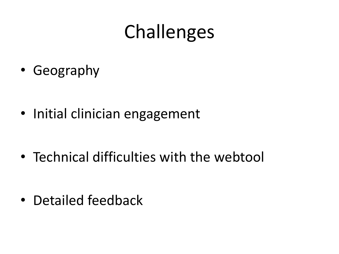### Challenges

• Geography

• Initial clinician engagement

• Technical difficulties with the webtool

• Detailed feedback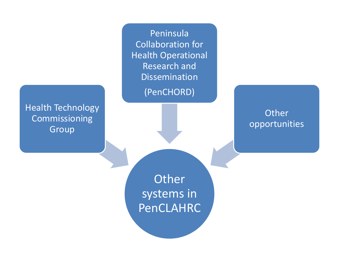Peninsula Collaboration for Health Operational Research and Dissemination (PenCHORD)

Health Technology Commissioning Group

**Other** opportunities

**Other** systems in PenCLAHRC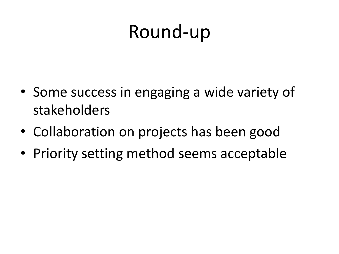### Round-up

- Some success in engaging a wide variety of stakeholders
- Collaboration on projects has been good
- Priority setting method seems acceptable